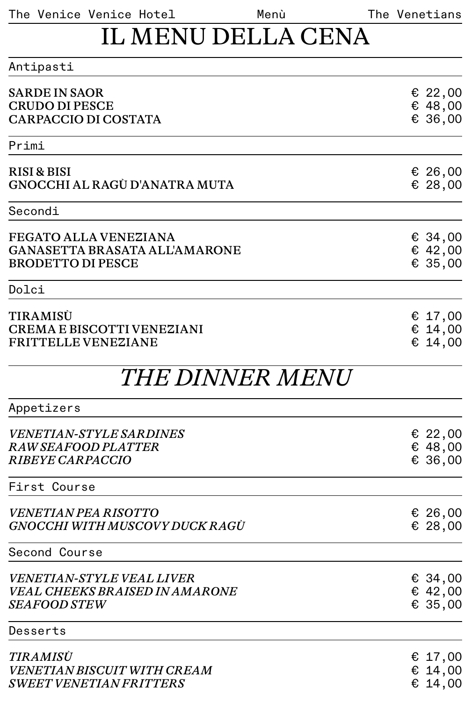The Venice Venice Hotel Menù The Venetians

Menù

## IL MENU DELLA CENA

| Antipasti                                                                                        |                               |
|--------------------------------------------------------------------------------------------------|-------------------------------|
| <b>SARDE IN SAOR</b><br><b>CRUDO DI PESCE</b><br><b>CARPACCIO DI COSTATA</b>                     | £22,00<br>€ 48,00<br>€ 36,00  |
| Primi                                                                                            |                               |
|                                                                                                  |                               |
| RISI & BISI<br>GNOCCHI AL RAGÚ D'ANATRA MUTA                                                     | € 26,00<br>€ 28,00            |
| Secondi                                                                                          |                               |
| <b>FEGATO ALLA VENEZIANA</b><br><b>GANASETTA BRASATA ALL'AMARONE</b><br><b>BRODETTO DI PESCE</b> | € 34,00<br>€ 42,00<br>€ 35,00 |
| Dolci                                                                                            |                               |
| TIRAMISÜ<br><b>CREMA E BISCOTTI VENEZIANI</b><br><b>FRITTELLE VENEZIANE</b>                      | £17,00<br>€ 14,00<br>€ 14,00  |
| <i>THE DINNER MENU</i>                                                                           |                               |
| Appetizers                                                                                       |                               |
| <b>VENETIAN-STYLE SARDINES</b><br>RAW SEAFOOD PLATTER<br><b>RIBEYE CARPACCIO</b>                 | € 22,00<br>€ 48,00<br>€ 36,00 |
| First Course                                                                                     |                               |
| <i>VENETIAN PEA RISOTTO</i><br>GNOCCHI WITH MUSCOVY DUCK RAGÙ                                    | € 26,00<br>€ 28,00            |
| Second Course                                                                                    |                               |
| <i>VENETIAN-STYLE VEAL LIVER</i><br><b>VEAL CHEEKS BRAISED IN AMARONE</b><br><b>SEAFOOD STEW</b> | € 34,00<br>€ 42,00<br>€ 35,00 |
| Desserts                                                                                         |                               |
| <i>TIRAMISU</i><br>VENETIAN BISCUIT WITH CREAM<br><i><b>SWEET VENETIAN FRITTERS</b></i>          | € 17,00<br>€ 14,00<br>€ 14,00 |